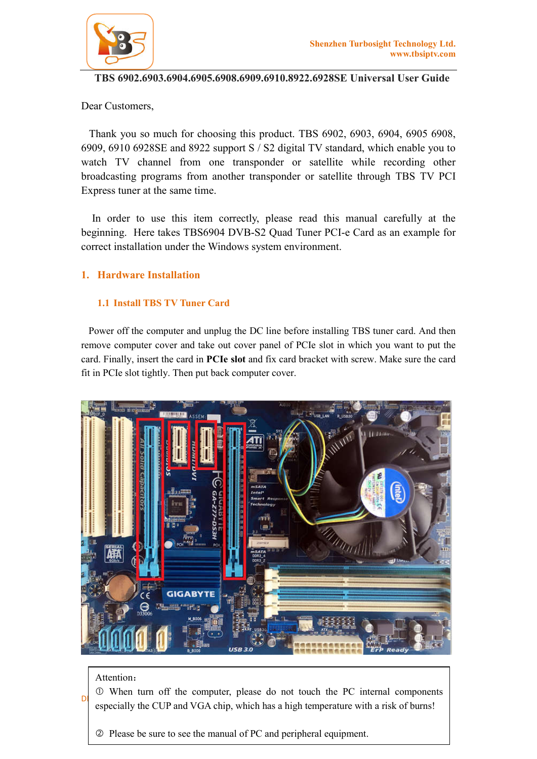

# **TBS 6902.6903.6904.6905.6908.6909.6910.8922.6928SE Universal User Guide**

Dear Customers,

 Thank you so much for choosing this product. TBS 6902, 6903, 6904, 6905 6908, 6909, 6910 6928SE and 8922 support S / S2 digital TV standard, which enable you to watch TV channel from one transponder or satellite while recording other broadcasting programs from another transponder or satellite through TBS TV PCI Express tuner at the same time.

 In order to use this item correctly, please read this manual carefully at the beginning. Here takes TBS6904 DVB-S2 Quad Tuner PCI-e Card as an example for correct installation under the Windows system environment.

# **1. Hardware Installation**

# **1.1 Install TBS TV Tuner Card**

 Power off the computer and unplug the DC line before installing TBS tuner card. And then remove computer cover and take out cover panel of PCIe slot in which you want to put the card. Finally, insert the card in **PCIe slot** and fix card bracket with screw. Make sure the card fit in PCIe slot tightly. Then put back computer cover.



### Attention:

DIGITY TUNER FOR PCUP and VGA chip, which has a high temperature with a risk of burns! When turn off the computer, please do not touch the PC internal components

Please be sure to see the manual of PC and peripheral equipment.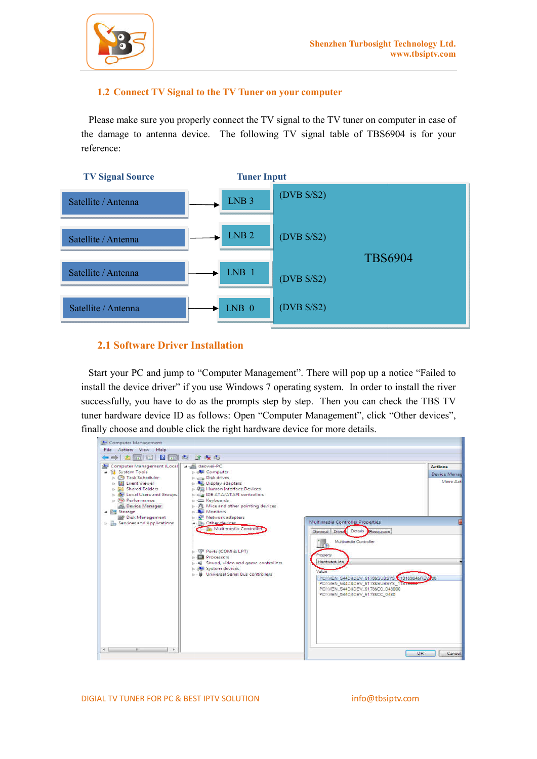

### **1.2 Connect TV Signal to the TV Tuner on your computer**

Please make sure you properly connect the TV signal to the TV tuner on computer in case of the damage to antenna device. The following TV signal table of TBS6904 is for your reference:



### **2.1 Software Driver Installation**

 Start your PC and jump to "Computer Management". There will pop up a notice "Failed to install the device driver" if you use Windows 7 operating system. In order to install the river successfully, you have to do as the prompts step by step. Then you can check the TBS TV tuner hardware device ID as follows: Open "Computer Management", click "Other devices", finally choose and double click the right hardware device for more details.

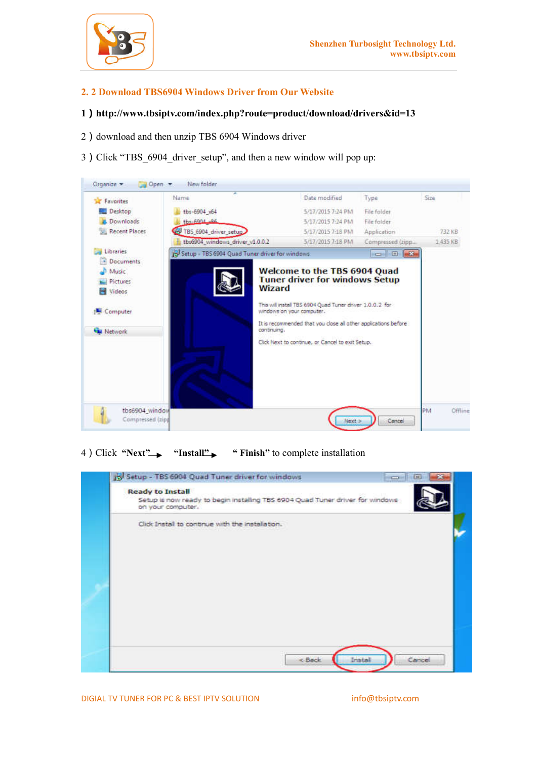

### **2. 2 Download TBS6904 Windows Driver from Our Website**

#### **1**)**http://www.tbsiptv.com/index.php?route=product/download/drivers&id=13**

- 2) download and then unzip TBS 6904 Windows driver
- 3) Click "TBS 6904 driver\_setup", and then a new window will pop up:



4) Click "Next" "Install" " Finish" to complete installation



DIGIAL TV TUNER FOR PC & BEST IPTV SOLUTION info@tbsiptv.com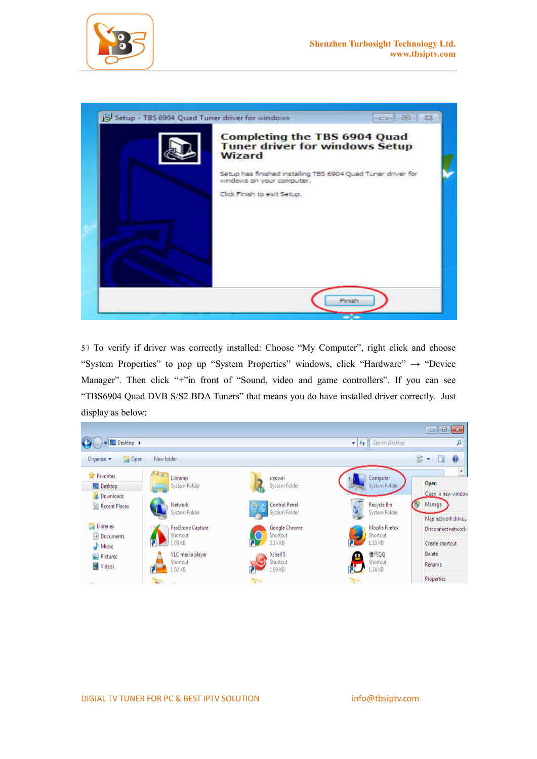



5)To verify if driver was correctly installed: Choose "My Computer", right click and choose "System Properties" to pop up "System Properties" windows, click "Hardware"  $\rightarrow$  "Device Manager". Then click "+"in front of "Sound, video and game controllers". If you can see "TBS6904 Quad DVB S/S2 BDA Tuners" that means you do have installed driver correctly. Just display as below: